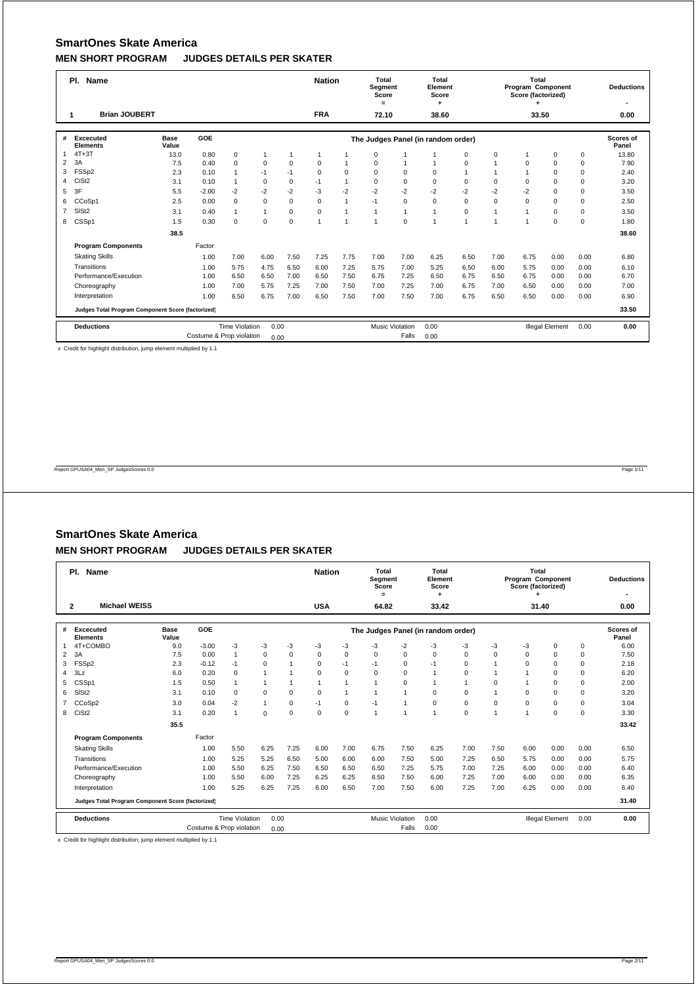|                | PI.<br><b>Name</b>                                |                      |                          |                       |              |              | <b>Nation</b>  |                | Total<br>Segment<br>Score<br>$=$ |                        | Total<br>Element<br>Score<br>٠     |                |                | <b>Total</b><br>Program Component<br>Score (factorized) |                        |      | <b>Deductions</b>  |
|----------------|---------------------------------------------------|----------------------|--------------------------|-----------------------|--------------|--------------|----------------|----------------|----------------------------------|------------------------|------------------------------------|----------------|----------------|---------------------------------------------------------|------------------------|------|--------------------|
|                | <b>Brian JOUBERT</b>                              |                      |                          |                       |              |              | <b>FRA</b>     |                | 72.10                            |                        | 38.60                              |                |                | 33.50                                                   |                        |      | 0.00               |
| #              | Excecuted<br><b>Elements</b>                      | <b>Base</b><br>Value | GOE                      |                       |              |              |                |                |                                  |                        | The Judges Panel (in random order) |                |                |                                                         |                        |      | Scores of<br>Panel |
| $\mathbf{1}$   | $4T+3T$                                           | 13.0                 | 0.80                     | $\mathsf 0$           | 1            | $\mathbf{1}$ | $\mathbf{1}$   |                | 0                                |                        |                                    | $\mathbf 0$    | $\Omega$       |                                                         | 0                      | 0    | 13.80              |
| 2              | 3A                                                | 7.5                  | 0.40                     | $\mathbf 0$           | $\mathbf 0$  | $\Omega$     | $\mathbf 0$    | 1              | 0                                | $\overline{1}$         | $\mathbf{1}$                       | $\Omega$       |                | $\Omega$                                                | $\Omega$               | 0    | 7.90               |
| 3              | FSSp2                                             | 2.3                  | 0.10                     | $\mathbf{1}$          | $-1$         | $-1$         | $\Omega$       | $\mathbf 0$    | $\Omega$                         | $\Omega$               | $\Omega$                           | $\overline{1}$ |                |                                                         | $\Omega$               | 0    | 2.40               |
| 4              | CiSt <sub>2</sub>                                 | 3.1                  | 0.10                     | $\mathbf{1}$          | $\mathbf 0$  | $\Omega$     | $-1$           | $\overline{1}$ | 0                                | $\Omega$               | $\mathbf 0$                        | 0              | $\Omega$       | $\Omega$                                                | $\Omega$               | 0    | 3.20               |
| 5              | 3F                                                | 5.5                  | $-2.00$                  | $-2$                  | $-2$         | $-2$         | $-3$           | $-2$           | $-2$                             | $-2$                   | $-2$                               | $-2$           | $-2$           | $-2$                                                    | $\Omega$               | 0    | 3.50               |
| 6              | CCoSp1                                            | 2.5                  | 0.00                     | $\mathbf 0$           | $\mathbf 0$  | $\Omega$     | $\mathbf 0$    | $\mathbf{1}$   | $-1$                             | $\mathbf 0$            | $\mathbf 0$                        | $\mathbf 0$    | $\Omega$       | $\Omega$                                                | $\Omega$               | 0    | 2.50               |
| $\overline{7}$ | SIS <sub>t2</sub>                                 | 3.1                  | 0.40                     | $\mathbf{1}$          | $\mathbf{1}$ | $\mathbf 0$  | $\mathbf 0$    | 1              | $\mathbf{1}$                     | $\mathbf{1}$           | $\mathbf{1}$                       | $\mathbf 0$    | $\overline{1}$ |                                                         | $\Omega$               | 0    | 3.50               |
| 8              | CSSp1                                             | 1.5                  | 0.30                     | $\mathbf 0$           | $\mathbf 0$  | $\Omega$     | $\overline{1}$ | $\overline{1}$ | $\mathbf{1}$                     | $\Omega$               | $\overline{1}$                     | $\overline{ }$ | $\overline{ }$ |                                                         | $\Omega$               | 0    | 1.80               |
|                |                                                   | 38.5                 |                          |                       |              |              |                |                |                                  |                        |                                    |                |                |                                                         |                        |      | 38.60              |
|                | <b>Program Components</b>                         |                      | Factor                   |                       |              |              |                |                |                                  |                        |                                    |                |                |                                                         |                        |      |                    |
|                | <b>Skating Skills</b>                             |                      | 1.00                     | 7.00                  | 6.00         | 7.50         | 7.25           | 7.75           | 7.00                             | 7.00                   | 6.25                               | 6.50           | 7.00           | 6.75                                                    | 0.00                   | 0.00 | 6.80               |
|                | Transitions                                       |                      | 1.00                     | 5.75                  | 4.75         | 6.50         | 6.00           | 7.25           | 5.75                             | 7.00                   | 5.25                               | 6.50           | 6.00           | 5.75                                                    | 0.00                   | 0.00 | 6.10               |
|                | Performance/Execution                             |                      | 1.00                     | 6.50                  | 6.50         | 7.00         | 6.50           | 7.50           | 6.75                             | 7.25                   | 6.50                               | 6.75           | 6.50           | 6.75                                                    | 0.00                   | 0.00 | 6.70               |
|                | Choreography                                      |                      | 1.00                     | 7.00                  | 5.75         | 7.25         | 7.00           | 7.50           | 7.00                             | 7.25                   | 7.00                               | 6.75           | 7.00           | 6.50                                                    | 0.00                   | 0.00 | 7.00               |
|                | Interpretation                                    |                      | 1.00                     | 6.50                  | 6.75         | 7.00         | 6.50           | 7.50           | 7.00                             | 7.50                   | 7.00                               | 6.75           | 6.50           | 6.50                                                    | 0.00                   | 0.00 | 6.90               |
|                | Judges Total Program Component Score (factorized) |                      |                          |                       |              |              |                |                |                                  |                        |                                    |                |                |                                                         |                        |      | 33.50              |
|                | <b>Deductions</b>                                 |                      |                          | <b>Time Violation</b> | 0.00         |              |                |                |                                  | <b>Music Violation</b> | 0.00                               |                |                |                                                         | <b>Illegal Element</b> | 0.00 | 0.00               |
|                |                                                   |                      | Costume & Prop violation |                       | 0.00         |              |                |                |                                  | Falls                  | 0.00                               |                |                |                                                         |                        |      |                    |

x Credit for highlight distribution, jump element multiplied by 1.1

Report GPUSA04\_Men\_SP JudgesScores 0.0 Page 1/11

### **SmartOnes Skate America**

#### **MEN SHORT PROGRAM JUDGES DETAILS PER SKATER**

|                | PI.<br><b>Name</b>                                |                      |                          | <b>Nation</b>         |              | <b>Total</b><br>Segment<br>Score<br>$=$ |              | Total<br>Element<br>Score<br>٠ |              |                        | Total<br>Program Component<br>Score (factorized) |             |                | <b>Deductions</b> |                        |             |                    |
|----------------|---------------------------------------------------|----------------------|--------------------------|-----------------------|--------------|-----------------------------------------|--------------|--------------------------------|--------------|------------------------|--------------------------------------------------|-------------|----------------|-------------------|------------------------|-------------|--------------------|
|                | <b>Michael WEISS</b><br>$\mathbf{2}$              |                      |                          |                       |              |                                         | <b>USA</b>   |                                | 64.82        |                        | 33.42                                            |             |                | 31.40             |                        |             | 0.00               |
| #              | <b>Excecuted</b><br><b>Elements</b>               | <b>Base</b><br>Value | GOE                      |                       |              |                                         |              |                                |              |                        | The Judges Panel (in random order)               |             |                |                   |                        |             | Scores of<br>Panel |
|                | 4T+COMBO                                          | 9.0                  | $-3.00$                  | $-3$                  | -3           | -3                                      | $-3$         | -3                             | -3           | $-2$                   | $-3$                                             | -3          | -3             | -3                | 0                      | 0           | 6.00               |
| 2              | 3A                                                | 7.5                  | 0.00                     | $\mathbf{1}$          | $\Omega$     | $\Omega$                                | $\Omega$     | $\mathbf 0$                    | $\Omega$     | $\Omega$               | $\Omega$                                         | $\Omega$    | $\Omega$       | $\Omega$          | $\Omega$               | $\mathbf 0$ | 7.50               |
| 3              | FSSp2                                             | 2.3                  | $-0.12$                  | $-1$                  | $\mathbf 0$  | $\overline{1}$                          | 0            | $-1$                           | $-1$         | $\mathbf 0$            | $-1$                                             | $\Omega$    |                | $\Omega$          | $\Omega$               | $\mathbf 0$ | 2.18               |
| 4              | 3Lz                                               | 6.0                  | 0.20                     | $\Omega$              | $\mathbf{1}$ | 1                                       | $\Omega$     | $\Omega$                       | $\Omega$     | $\Omega$               | 1                                                | $\Omega$    | $\overline{1}$ |                   | $\Omega$               | $\mathbf 0$ | 6.20               |
| 5              | CSSp1                                             | 1.5                  | 0.50                     | 1                     | $\mathbf{1}$ | $\mathbf{1}$                            | $\mathbf{1}$ | $\overline{1}$                 | $\mathbf{1}$ | $\Omega$               | 1                                                | 1           | $\Omega$       |                   | $\mathbf 0$            | $\mathbf 0$ | 2.00               |
| 6              | SIS <sub>t2</sub>                                 | 3.1                  | 0.10                     | $\Omega$              | 0            | $\Omega$                                | $\Omega$     | $\overline{1}$                 | 1            |                        | $\Omega$                                         | $\Omega$    | 1              | $\Omega$          | $\Omega$               | $\mathbf 0$ | 3.20               |
| $\overline{7}$ | CCoSp2                                            | 3.0                  | 0.04                     | $-2$                  | $\mathbf{1}$ | $\Omega$                                | $-1$         | $\mathbf 0$                    | $-1$         |                        | $\Omega$                                         | $\Omega$    | $\Omega$       | $\Omega$          | $\Omega$               | $\mathbf 0$ | 3.04               |
| 8              | CiSt <sub>2</sub>                                 | 3.1                  | 0.20                     | $\mathbf{1}$          | $\mathbf 0$  | $\mathbf 0$                             | $\mathbf 0$  | 0                              | 1            |                        | 1                                                | $\mathbf 0$ | $\overline{1}$ | $\overline{1}$    | $\mathbf 0$            | $\mathbf 0$ | 3.30               |
|                |                                                   | 35.5                 |                          |                       |              |                                         |              |                                |              |                        |                                                  |             |                |                   |                        |             | 33.42              |
|                | <b>Program Components</b>                         |                      | Factor                   |                       |              |                                         |              |                                |              |                        |                                                  |             |                |                   |                        |             |                    |
|                | <b>Skating Skills</b>                             |                      | 1.00                     | 5.50                  | 6.25         | 7.25                                    | 6.00         | 7.00                           | 6.75         | 7.50                   | 6.25                                             | 7.00        | 7.50           | 6.00              | 0.00                   | 0.00        | 6.50               |
|                | Transitions                                       |                      | 1.00                     | 5.25                  | 5.25         | 6.50                                    | 5.00         | 6.00                           | 6.00         | 7.50                   | 5.00                                             | 7.25        | 6.50           | 5.75              | 0.00                   | 0.00        | 5.75               |
|                | Performance/Execution                             |                      | 1.00                     | 5.50                  | 6.25         | 7.50                                    | 6.50         | 6.50                           | 6.50         | 7.25                   | 5.75                                             | 7.00        | 7.25           | 6.00              | 0.00                   | 0.00        | 6.40               |
|                | Choreography                                      |                      | 1.00                     | 5.50                  | 6.00         | 7.25                                    | 6.25         | 6.25                           | 6.50         | 7.50                   | 6.00                                             | 7.25        | 7.00           | 6.00              | 0.00                   | 0.00        | 6.35               |
|                | Interpretation                                    |                      | 1.00                     | 5.25                  | 6.25         | 7.25                                    | 6.00         | 6.50                           | 7.00         | 7.50                   | 6.00                                             | 7.25        | 7.00           | 6.25              | 0.00                   | 0.00        | 6.40               |
|                | Judges Total Program Component Score (factorized) |                      |                          |                       |              |                                         |              |                                |              |                        |                                                  |             |                |                   |                        |             | 31.40              |
|                | <b>Deductions</b>                                 |                      |                          | <b>Time Violation</b> | 0.00         |                                         |              |                                |              | <b>Music Violation</b> | 0.00                                             |             |                |                   | <b>Illegal Element</b> | 0.00        | 0.00               |
|                |                                                   |                      | Costume & Prop violation |                       | 0.00         |                                         |              |                                |              | Falls                  | 0.00                                             |             |                |                   |                        |             |                    |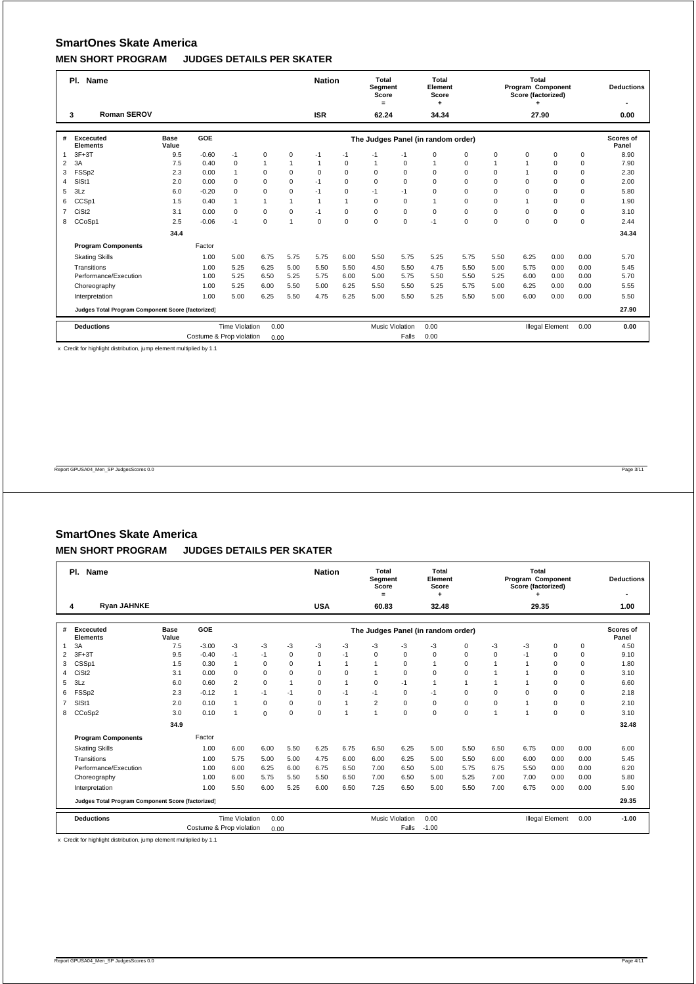|                | PI.<br>Name                                       |             | <b>Nation</b>            |                       | Total<br>Segment<br>Score<br>$=$ |                | Total<br>Element<br>Score<br>٠ |             |              | Total<br>Program Component<br>Score (factorized) |                                    |             | <b>Deductions</b> |          |                        |      |           |
|----------------|---------------------------------------------------|-------------|--------------------------|-----------------------|----------------------------------|----------------|--------------------------------|-------------|--------------|--------------------------------------------------|------------------------------------|-------------|-------------------|----------|------------------------|------|-----------|
|                | Roman SEROV<br>3                                  |             |                          |                       |                                  |                | <b>ISR</b>                     |             | 62.24        |                                                  | 34.34                              |             |                   | 27.90    |                        |      | 0.00      |
| #              | <b>Excecuted</b>                                  | <b>Base</b> | <b>GOE</b>               |                       |                                  |                |                                |             |              |                                                  |                                    |             |                   |          |                        |      | Scores of |
|                | <b>Elements</b>                                   | Value       |                          |                       |                                  |                |                                |             |              |                                                  | The Judges Panel (in random order) |             |                   |          |                        |      | Panel     |
| $\mathbf{1}$   | $3F+3T$                                           | 9.5         | $-0.60$                  | $-1$                  | $\mathbf 0$                      | $\Omega$       | $-1$                           | $-1$        | $-1$         | $-1$                                             | $\mathbf 0$                        | $\mathbf 0$ | $\Omega$          | $\Omega$ | $\Omega$               | 0    | 8.90      |
| $\overline{2}$ | 3A                                                | 7.5         | 0.40                     | $\mathbf 0$           | $\mathbf{1}$                     | $\overline{1}$ | $\overline{1}$                 | $\mathbf 0$ | $\mathbf{1}$ | 0                                                | $\overline{1}$                     | 0           | $\mathbf{1}$      |          | $\Omega$               | 0    | 7.90      |
| 3              | FSSp2                                             | 2.3         | 0.00                     | $\mathbf{1}$          | $\mathbf 0$                      | $\Omega$       | $\mathbf 0$                    | $\mathbf 0$ | 0            | $\Omega$                                         | $\Omega$                           | $\Omega$    | $\Omega$          |          | $\Omega$               | 0    | 2.30      |
| $\overline{4}$ | SISt1                                             | 2.0         | 0.00                     | $\Omega$              | $\Omega$                         | $\Omega$       | $-1$                           | $\Omega$    | 0            | $\Omega$                                         | $\Omega$                           | $\Omega$    | $\Omega$          | $\Omega$ | $\Omega$               | 0    | 2.00      |
| 5              | 3Lz                                               | 6.0         | $-0.20$                  | $\Omega$              | $\mathbf 0$                      | $\Omega$       | $-1$                           | $\mathbf 0$ | $-1$         | $-1$                                             | $\Omega$                           | $\Omega$    | $\Omega$          | $\Omega$ | $\Omega$               | 0    | 5.80      |
| 6              | CCSp1                                             | 1.5         | 0.40                     | $\mathbf{1}$          | $\overline{1}$                   | $\overline{1}$ | $\overline{1}$                 | 1           | 0            | $\mathbf 0$                                      | $\mathbf{1}$                       | $\mathbf 0$ | $\Omega$          |          | $\Omega$               | 0    | 1.90      |
| $\overline{7}$ | CiSt <sub>2</sub>                                 | 3.1         | 0.00                     | $\mathbf 0$           | $\mathbf 0$                      | $\Omega$       | $-1$                           | $\Omega$    | 0            | $\mathbf 0$                                      | $\mathbf 0$                        | $\mathbf 0$ | $\Omega$          | $\Omega$ | $\Omega$               | 0    | 3.10      |
| 8              | CCoSp1                                            | 2.5         | $-0.06$                  | $-1$                  | $\mathbf 0$                      | $\overline{1}$ | $\mathbf 0$                    | $\mathbf 0$ | 0            | $\mathbf 0$                                      | $-1$                               | $\mathbf 0$ | $\Omega$          | $\Omega$ | $\Omega$               | 0    | 2.44      |
|                |                                                   | 34.4        |                          |                       |                                  |                |                                |             |              |                                                  |                                    |             |                   |          |                        |      | 34.34     |
|                | <b>Program Components</b>                         |             | Factor                   |                       |                                  |                |                                |             |              |                                                  |                                    |             |                   |          |                        |      |           |
|                | <b>Skating Skills</b>                             |             | 1.00                     | 5.00                  | 6.75                             | 5.75           | 5.75                           | 6.00        | 5.50         | 5.75                                             | 5.25                               | 5.75        | 5.50              | 6.25     | 0.00                   | 0.00 | 5.70      |
|                | Transitions                                       |             | 1.00                     | 5.25                  | 6.25                             | 5.00           | 5.50                           | 5.50        | 4.50         | 5.50                                             | 4.75                               | 5.50        | 5.00              | 5.75     | 0.00                   | 0.00 | 5.45      |
|                | Performance/Execution                             |             | 1.00                     | 5.25                  | 6.50                             | 5.25           | 5.75                           | 6.00        | 5.00         | 5.75                                             | 5.50                               | 5.50        | 5.25              | 6.00     | 0.00                   | 0.00 | 5.70      |
|                | Choreography                                      |             | 1.00                     | 5.25                  | 6.00                             | 5.50           | 5.00                           | 6.25        | 5.50         | 5.50                                             | 5.25                               | 5.75        | 5.00              | 6.25     | 0.00                   | 0.00 | 5.55      |
|                | Interpretation                                    |             | 1.00                     | 5.00                  | 6.25                             | 5.50           | 4.75                           | 6.25        | 5.00         | 5.50                                             | 5.25                               | 5.50        | 5.00              | 6.00     | 0.00                   | 0.00 | 5.50      |
|                | Judges Total Program Component Score (factorized) |             |                          |                       |                                  |                |                                |             |              |                                                  |                                    |             |                   |          |                        |      | 27.90     |
|                | <b>Deductions</b>                                 |             |                          | <b>Time Violation</b> | 0.00                             |                |                                |             |              | <b>Music Violation</b>                           | 0.00                               |             |                   |          | <b>Illegal Element</b> | 0.00 | 0.00      |
|                |                                                   |             | Costume & Prop violation |                       | 0.00                             |                |                                |             |              | Falls                                            | 0.00                               |             |                   |          |                        |      |           |

x Credit for highlight distribution, jump element multiplied by 1.1

Report GPUSA04\_Men\_SP JudgesScores 0.0 Page 3/11

### **SmartOnes Skate America**

#### **MEN SHORT PROGRAM JUDGES DETAILS PER SKATER**

|                | PI.<br><b>Name</b>                                |                      |                          |                       | <b>Nation</b> |              | <b>Total</b><br>Segment<br>Score<br>$=$ |                | Total<br>Element<br>Score |                        |                                    | Total<br>Program Component<br>Score (factorized) |                |                | <b>Deductions</b>      |             |                           |
|----------------|---------------------------------------------------|----------------------|--------------------------|-----------------------|---------------|--------------|-----------------------------------------|----------------|---------------------------|------------------------|------------------------------------|--------------------------------------------------|----------------|----------------|------------------------|-------------|---------------------------|
|                | <b>Ryan JAHNKE</b><br>4                           |                      |                          |                       |               |              | <b>USA</b>                              |                | 60.83                     |                        | 32.48                              |                                                  |                | 29.35          |                        |             | 1.00                      |
| #              | <b>Excecuted</b><br><b>Elements</b>               | <b>Base</b><br>Value | <b>GOE</b>               |                       |               |              |                                         |                |                           |                        | The Judges Panel (in random order) |                                                  |                |                |                        |             | <b>Scores of</b><br>Panel |
| 1              | 3A                                                | 7.5                  | $-3.00$                  | $-3$                  | -3            | -3           | -3                                      | -3             | -3                        | -3                     | -3                                 | 0                                                | -3             | -3             | 0                      | 0           | 4.50                      |
| 2              | $3F+3T$                                           | 9.5                  | $-0.40$                  | $-1$                  | $-1$          | $\Omega$     | $\mathbf 0$                             | $-1$           | $\mathbf 0$               | $\Omega$               | $\Omega$                           | $\Omega$                                         | $\Omega$       | $-1$           | $\mathbf 0$            | $\mathbf 0$ | 9.10                      |
| 3              | CSSp1                                             | 1.5                  | 0.30                     | $\mathbf{1}$          | $\Omega$      | $\Omega$     | $\mathbf{1}$                            | $\overline{1}$ | $\overline{1}$            | $\Omega$               |                                    | $\Omega$                                         |                |                | $\Omega$               | $\mathbf 0$ | 1.80                      |
| 4              | CiSt <sub>2</sub>                                 | 3.1                  | 0.00                     | $\Omega$              | 0             | $\Omega$     | $\Omega$                                | $\mathbf 0$    | $\mathbf{1}$              | $\Omega$               | $\Omega$                           | $\Omega$                                         | 1              |                | $\Omega$               | $\mathbf 0$ | 3.10                      |
| 5              | 3Lz                                               | 6.0                  | 0.60                     | $\overline{2}$        | $\mathbf 0$   | $\mathbf{1}$ | $\Omega$                                | $\overline{1}$ | $\mathbf 0$               | $-1$                   | 1                                  | 1                                                | $\overline{1}$ |                | 0                      | $\mathbf 0$ | 6.60                      |
| 6              | FSSp2                                             | 2.3                  | $-0.12$                  | 1                     | $-1$          | $-1$         | $\Omega$                                | $-1$           | $-1$                      | $\Omega$               | $-1$                               | $\Omega$                                         | $\Omega$       | $\Omega$       | $\Omega$               | $\mathbf 0$ | 2.18                      |
| $\overline{7}$ | SISt1                                             | 2.0                  | 0.10                     | $\overline{1}$        | 0             | $\Omega$     | $\Omega$                                | $\overline{1}$ | 2                         | $\Omega$               | $\Omega$                           | $\Omega$                                         | $\Omega$       | $\overline{1}$ | $\Omega$               | $\mathbf 0$ | 2.10                      |
| 8              | CCoSp2                                            | 3.0                  | 0.10                     | $\mathbf{1}$          | 0             | $\mathbf 0$  | $\mathbf 0$                             | $\overline{1}$ | 1                         | $\mathbf 0$            | $\mathbf 0$                        | $\mathbf 0$                                      | $\overline{1}$ | $\overline{ }$ | $\mathbf 0$            | $\mathbf 0$ | 3.10                      |
|                |                                                   | 34.9                 |                          |                       |               |              |                                         |                |                           |                        |                                    |                                                  |                |                |                        |             | 32.48                     |
|                | <b>Program Components</b>                         |                      | Factor                   |                       |               |              |                                         |                |                           |                        |                                    |                                                  |                |                |                        |             |                           |
|                | <b>Skating Skills</b>                             |                      | 1.00                     | 6.00                  | 6.00          | 5.50         | 6.25                                    | 6.75           | 6.50                      | 6.25                   | 5.00                               | 5.50                                             | 6.50           | 6.75           | 0.00                   | 0.00        | 6.00                      |
|                | Transitions                                       |                      | 1.00                     | 5.75                  | 5.00          | 5.00         | 4.75                                    | 6.00           | 6.00                      | 6.25                   | 5.00                               | 5.50                                             | 6.00           | 6.00           | 0.00                   | 0.00        | 5.45                      |
|                | Performance/Execution                             |                      | 1.00                     | 6.00                  | 6.25          | 6.00         | 6.75                                    | 6.50           | 7.00                      | 6.50                   | 5.00                               | 5.75                                             | 6.75           | 5.50           | 0.00                   | 0.00        | 6.20                      |
|                | Choreography                                      |                      | 1.00                     | 6.00                  | 5.75          | 5.50         | 5.50                                    | 6.50           | 7.00                      | 6.50                   | 5.00                               | 5.25                                             | 7.00           | 7.00           | 0.00                   | 0.00        | 5.80                      |
|                | Interpretation                                    |                      | 1.00                     | 5.50                  | 6.00          | 5.25         | 6.00                                    | 6.50           | 7.25                      | 6.50                   | 5.00                               | 5.50                                             | 7.00           | 6.75           | 0.00                   | 0.00        | 5.90                      |
|                | Judges Total Program Component Score (factorized) |                      |                          |                       |               |              |                                         |                |                           |                        |                                    |                                                  |                |                |                        |             | 29.35                     |
|                | <b>Deductions</b>                                 |                      |                          | <b>Time Violation</b> | 0.00          |              |                                         |                |                           | <b>Music Violation</b> | 0.00                               |                                                  |                |                | <b>Illegal Element</b> | 0.00        | $-1.00$                   |
|                |                                                   |                      | Costume & Prop violation |                       | 0.00          |              |                                         |                |                           | Falls                  | $-1.00$                            |                                                  |                |                |                        |             |                           |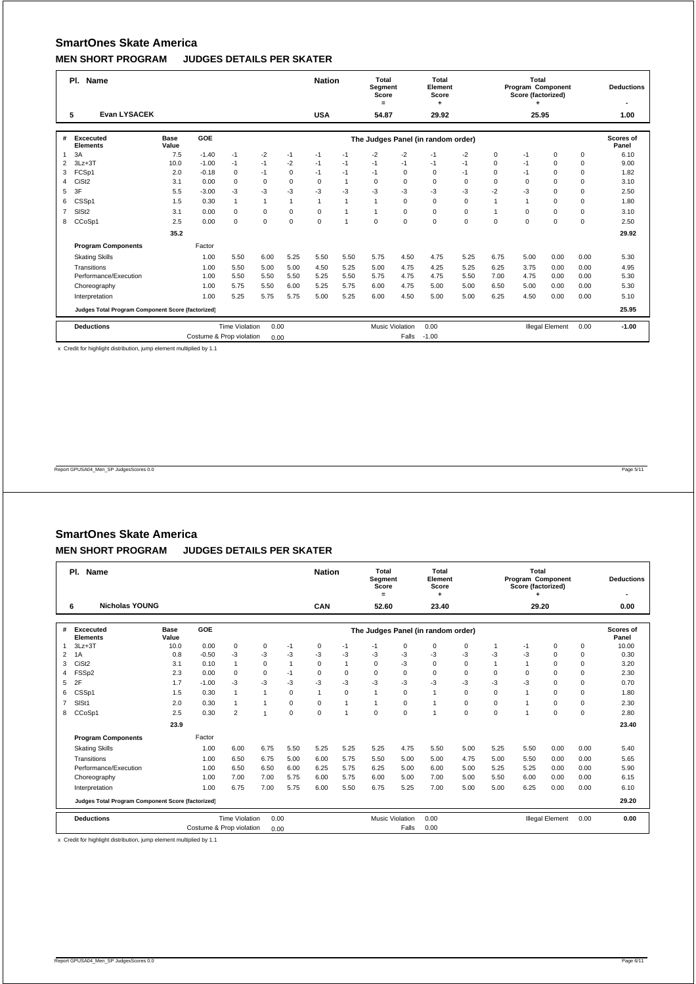|                | PI.<br>Name                                       |                      | <b>Nation</b>            |                       | Total<br>Segment<br>Score<br>$=$ |          | Total<br>Element<br>Score<br>٠ |                |              | Total<br>Program Component<br>Score (factorized) |                                    |             | <b>Deductions</b> |          |                        |      |                    |
|----------------|---------------------------------------------------|----------------------|--------------------------|-----------------------|----------------------------------|----------|--------------------------------|----------------|--------------|--------------------------------------------------|------------------------------------|-------------|-------------------|----------|------------------------|------|--------------------|
|                | <b>Evan LYSACEK</b><br>5                          |                      |                          |                       |                                  |          | <b>USA</b>                     |                | 54.87        |                                                  | 29.92                              |             |                   | 25.95    |                        |      | 1.00               |
| #              | <b>Excecuted</b><br><b>Elements</b>               | <b>Base</b><br>Value | GOE                      |                       |                                  |          |                                |                |              |                                                  | The Judges Panel (in random order) |             |                   |          |                        |      | Scores of<br>Panel |
| $\mathbf{1}$   | 3A                                                | 7.5                  | $-1.40$                  | $-1$                  | $-2$                             | $-1$     | $-1$                           | $-1$           | $-2$         | $-2$                                             | $-1$                               | $-2$        | $\Omega$          | $-1$     | $\Omega$               | 0    | 6.10               |
| $\overline{2}$ | $3Lz + 3T$                                        | 10.0                 | $-1.00$                  | $-1$                  | $-1$                             | $-2$     | $-1$                           | $-1$           | $-1$         | $-1$                                             | $-1$                               | $-1$        | $\Omega$          | $-1$     | $\Omega$               | 0    | 9.00               |
| 3              | FCSp1                                             | 2.0                  | $-0.18$                  | $\mathbf 0$           | $-1$                             | $\Omega$ | $-1$                           | $-1$           | $-1$         | $\mathbf 0$                                      | $\mathbf 0$                        | $-1$        | $\Omega$          | $-1$     | $\Omega$               | 0    | 1.82               |
| 4              | CiSt <sub>2</sub>                                 | 3.1                  | 0.00                     | $\Omega$              | $\Omega$                         | $\Omega$ | $\Omega$                       | $\mathbf{1}$   | $\mathbf 0$  | $\Omega$                                         | $\Omega$                           | $\Omega$    | $\Omega$          | $\Omega$ | $\Omega$               | 0    | 3.10               |
| 5              | 3F                                                | 5.5                  | $-3.00$                  | $-3$                  | $-3$                             | -3       | $-3$                           | $-3$           | $-3$         | -3                                               | -3                                 | -3          | $-2$              | $-3$     | $\Omega$               | 0    | 2.50               |
| 6              | CSSp1                                             | 1.5                  | 0.30                     | $\mathbf{1}$          | $\mathbf{1}$                     | 1        | $\overline{1}$                 | 1              | $\mathbf{1}$ | $\mathbf 0$                                      | $\mathbf 0$                        | $\mathbf 0$ |                   |          | $\Omega$               | 0    | 1.80               |
| $\overline{7}$ | SIS <sub>t2</sub>                                 | 3.1                  | 0.00                     | $\mathbf 0$           | $\mathbf 0$                      | $\Omega$ | $\Omega$                       | 1              | $\mathbf{1}$ | $\mathbf 0$                                      | $\mathbf 0$                        | $\mathbf 0$ | $\mathbf{1}$      | $\Omega$ | $\Omega$               | 0    | 3.10               |
| 8              | CCoSp1                                            | 2.5                  | 0.00                     | $\mathbf 0$           | $\mathbf 0$                      | $\Omega$ | $\mathbf 0$                    | $\overline{1}$ | 0            | $\Omega$                                         | $\mathbf 0$                        | $\mathbf 0$ | $\Omega$          | $\Omega$ | $\Omega$               | 0    | 2.50               |
|                |                                                   | 35.2                 |                          |                       |                                  |          |                                |                |              |                                                  |                                    |             |                   |          |                        |      | 29.92              |
|                | <b>Program Components</b>                         |                      | Factor                   |                       |                                  |          |                                |                |              |                                                  |                                    |             |                   |          |                        |      |                    |
|                | <b>Skating Skills</b>                             |                      | 1.00                     | 5.50                  | 6.00                             | 5.25     | 5.50                           | 5.50           | 5.75         | 4.50                                             | 4.75                               | 5.25        | 6.75              | 5.00     | 0.00                   | 0.00 | 5.30               |
|                | Transitions                                       |                      | 1.00                     | 5.50                  | 5.00                             | 5.00     | 4.50                           | 5.25           | 5.00         | 4.75                                             | 4.25                               | 5.25        | 6.25              | 3.75     | 0.00                   | 0.00 | 4.95               |
|                | Performance/Execution                             |                      | 1.00                     | 5.50                  | 5.50                             | 5.50     | 5.25                           | 5.50           | 5.75         | 4.75                                             | 4.75                               | 5.50        | 7.00              | 4.75     | 0.00                   | 0.00 | 5.30               |
|                | Choreography                                      |                      | 1.00                     | 5.75                  | 5.50                             | 6.00     | 5.25                           | 5.75           | 6.00         | 4.75                                             | 5.00                               | 5.00        | 6.50              | 5.00     | 0.00                   | 0.00 | 5.30               |
|                | Interpretation                                    |                      | 1.00                     | 5.25                  | 5.75                             | 5.75     | 5.00                           | 5.25           | 6.00         | 4.50                                             | 5.00                               | 5.00        | 6.25              | 4.50     | 0.00                   | 0.00 | 5.10               |
|                | Judges Total Program Component Score (factorized) |                      |                          |                       |                                  |          |                                |                |              |                                                  |                                    |             |                   |          |                        |      | 25.95              |
|                | <b>Deductions</b>                                 |                      |                          | <b>Time Violation</b> | 0.00                             |          |                                |                |              | <b>Music Violation</b>                           | 0.00                               |             |                   |          | <b>Illegal Element</b> | 0.00 | $-1.00$            |
|                |                                                   |                      | Costume & Prop violation |                       | 0.00                             |          |                                |                |              | Falls                                            | $-1.00$                            |             |                   |          |                        |      |                    |

x Credit for highlight distribution, jump element multiplied by 1.1

Report GPUSA04\_Men\_SP JudgesScores 0.0 Page 5/11

### **SmartOnes Skate America**

#### **MEN SHORT PROGRAM JUDGES DETAILS PER SKATER**

|                | PI.<br><b>Name</b>                                |                      | <b>Nation</b>            |                       | <b>Total</b><br>Segment<br>Score<br>$=$ |              | Total<br>Element<br>Score |                |              | Total<br>Program Component<br>Score (factorized) |                                    |             | <b>Deductions</b> |          |                        |             |                           |
|----------------|---------------------------------------------------|----------------------|--------------------------|-----------------------|-----------------------------------------|--------------|---------------------------|----------------|--------------|--------------------------------------------------|------------------------------------|-------------|-------------------|----------|------------------------|-------------|---------------------------|
|                | <b>Nicholas YOUNG</b><br>6                        |                      |                          |                       |                                         |              | <b>CAN</b>                |                | 52.60        |                                                  | 23.40                              |             |                   | 29.20    |                        |             | 0.00                      |
| #              | <b>Excecuted</b><br><b>Elements</b>               | <b>Base</b><br>Value | <b>GOE</b>               |                       |                                         |              |                           |                |              |                                                  | The Judges Panel (in random order) |             |                   |          |                        |             | <b>Scores of</b><br>Panel |
| 1              | $3Lz + 3T$                                        | 10.0                 | 0.00                     | $\mathbf 0$           | 0                                       | $-1$         | $\mathbf 0$               | $-1$           | $-1$         | 0                                                | 0                                  | 0           | -1                | -1       | 0                      | 0           | 10.00                     |
| 2              | 1A                                                | 0.8                  | $-0.50$                  | $-3$                  | $-3$                                    | $-3$         | $-3$                      | -3             | $-3$         | $-3$                                             | $-3$                               | $-3$        | $-3$              | $-3$     | $\mathbf 0$            | $\mathbf 0$ | 0.30                      |
| 3              | CiSt <sub>2</sub>                                 | 3.1                  | 0.10                     | $\mathbf{1}$          | $\Omega$                                | $\mathbf{1}$ | $\Omega$                  | $\overline{1}$ | $\Omega$     | $-3$                                             | $\Omega$                           | $\Omega$    |                   |          | $\Omega$               | $\mathbf 0$ | 3.20                      |
| 4              | FSSp2                                             | 2.3                  | 0.00                     | $\Omega$              | 0                                       | $-1$         | $\Omega$                  | $\mathbf 0$    | $\mathbf 0$  | $\Omega$                                         | $\Omega$                           | $\mathbf 0$ | $\Omega$          | $\Omega$ | $\Omega$               | $\mathbf 0$ | 2.30                      |
| 5              | 2F                                                | 1.7                  | $-1.00$                  | -3                    | $-3$                                    | -3           | -3                        | -3             | $-3$         | $-3$                                             | -3                                 | -3          | -3                | -3       | 0                      | $\mathbf 0$ | 0.70                      |
| 6              | CSSp1                                             | 1.5                  | 0.30                     | $\overline{1}$        | $\mathbf{1}$                            | $\Omega$     | $\blacktriangleleft$      | $\mathbf 0$    | $\mathbf{1}$ | $\Omega$                                         | 1                                  | $\Omega$    | $\Omega$          |          | $\Omega$               | $\mathbf 0$ | 1.80                      |
| $\overline{7}$ | SISt1                                             | 2.0                  | 0.30                     | $\mathbf{1}$          | $\mathbf{1}$                            | $\Omega$     | $\Omega$                  | $\overline{1}$ | $\mathbf{1}$ | $\mathbf 0$                                      | 1                                  | $\Omega$    | $\Omega$          |          | $\Omega$               | $\mathbf 0$ | 2.30                      |
| 8              | CCoSp1                                            | 2.5                  | 0.30                     | $\overline{2}$        | 1                                       | $\mathbf 0$  | $\mathbf 0$               | 1              | $\mathbf 0$  | $\mathbf 0$                                      | 1                                  | $\mathbf 0$ | $\mathbf 0$       | 1        | $\mathbf 0$            | $\mathbf 0$ | 2.80                      |
|                |                                                   | 23.9                 |                          |                       |                                         |              |                           |                |              |                                                  |                                    |             |                   |          |                        |             | 23.40                     |
|                | <b>Program Components</b>                         |                      | Factor                   |                       |                                         |              |                           |                |              |                                                  |                                    |             |                   |          |                        |             |                           |
|                | <b>Skating Skills</b>                             |                      | 1.00                     | 6.00                  | 6.75                                    | 5.50         | 5.25                      | 5.25           | 5.25         | 4.75                                             | 5.50                               | 5.00        | 5.25              | 5.50     | 0.00                   | 0.00        | 5.40                      |
|                | Transitions                                       |                      | 1.00                     | 6.50                  | 6.75                                    | 5.00         | 6.00                      | 5.75           | 5.50         | 5.00                                             | 5.00                               | 4.75        | 5.00              | 5.50     | 0.00                   | 0.00        | 5.65                      |
|                | Performance/Execution                             |                      | 1.00                     | 6.50                  | 6.50                                    | 6.00         | 6.25                      | 5.75           | 6.25         | 5.00                                             | 6.00                               | 5.00        | 5.25              | 5.25     | 0.00                   | 0.00        | 5.90                      |
|                | Choreography                                      |                      | 1.00                     | 7.00                  | 7.00                                    | 5.75         | 6.00                      | 5.75           | 6.00         | 5.00                                             | 7.00                               | 5.00        | 5.50              | 6.00     | 0.00                   | 0.00        | 6.15                      |
|                | Interpretation                                    |                      | 1.00                     | 6.75                  | 7.00                                    | 5.75         | 6.00                      | 5.50           | 6.75         | 5.25                                             | 7.00                               | 5.00        | 5.00              | 6.25     | 0.00                   | 0.00        | 6.10                      |
|                | Judges Total Program Component Score (factorized) |                      |                          |                       |                                         |              |                           |                |              |                                                  |                                    |             |                   |          |                        |             | 29.20                     |
|                | <b>Deductions</b>                                 |                      |                          | <b>Time Violation</b> | 0.00                                    |              |                           |                |              | <b>Music Violation</b>                           | 0.00                               |             |                   |          | <b>Illegal Element</b> | 0.00        | 0.00                      |
|                |                                                   |                      | Costume & Prop violation |                       | 0.00                                    |              |                           |                |              | Falls                                            | 0.00                               |             |                   |          |                        |             |                           |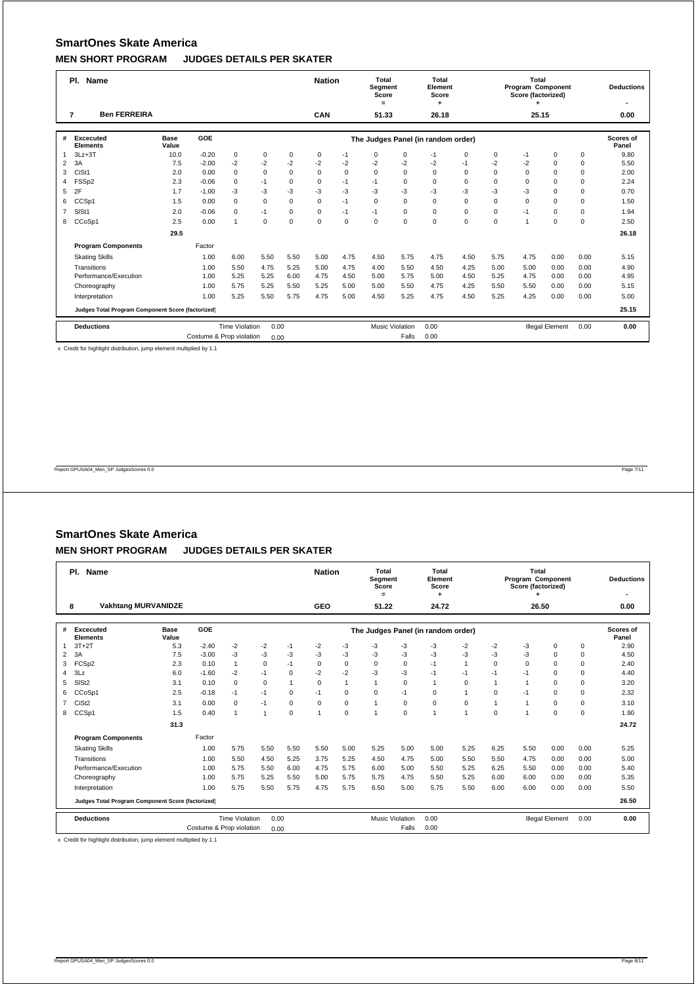|                | PI.<br>Name                                       |                      | <b>Nation</b>            |                       | Total<br>Segment<br>Score<br>$=$ |             | Total<br>Element<br>Score<br>٠ |             |       | Total<br>Program Component<br>Score (factorized) |                                    |             | <b>Deductions</b> |             |                        |      |                    |
|----------------|---------------------------------------------------|----------------------|--------------------------|-----------------------|----------------------------------|-------------|--------------------------------|-------------|-------|--------------------------------------------------|------------------------------------|-------------|-------------------|-------------|------------------------|------|--------------------|
|                | <b>Ben FERREIRA</b><br>$\overline{7}$             |                      |                          |                       |                                  |             | CAN                            |             | 51.33 |                                                  | 26.18                              |             |                   | 25.15       |                        |      | 0.00               |
| #              | <b>Excecuted</b><br><b>Elements</b>               | <b>Base</b><br>Value | <b>GOE</b>               |                       |                                  |             |                                |             |       |                                                  | The Judges Panel (in random order) |             |                   |             |                        |      | Scores of<br>Panel |
| $\mathbf{1}$   | $3Lz + 3T$                                        | 10.0                 | $-0.20$                  | $\mathbf 0$           | $\mathbf 0$                      | $\mathbf 0$ | 0                              | $-1$        | 0     | $\mathbf 0$                                      | $-1$                               | $\Omega$    | $\mathbf 0$       | $-1$        | $\Omega$               | 0    | 9.80               |
| $\overline{2}$ | 3A                                                | 7.5                  | $-2.00$                  | $-2$                  | $-2$                             | $-2$        | $-2$                           | $-2$        | $-2$  | $-2$                                             | $-2$                               | $-1$        | $-2$              | $-2$        | $\Omega$               | 0    | 5.50               |
| 3              | CiSt1                                             | 2.0                  | 0.00                     | $\mathbf 0$           | $\mathbf 0$                      | $\Omega$    | $\mathbf 0$                    | $\mathbf 0$ | 0     | $\Omega$                                         | $\Omega$                           | $\Omega$    | $\Omega$          | $\Omega$    | $\Omega$               | 0    | 2.00               |
| 4              | FSS <sub>p2</sub>                                 | 2.3                  | $-0.06$                  | 0                     | $-1$                             | $\Omega$    | $\Omega$                       | $-1$        | $-1$  | $\Omega$                                         | $\Omega$                           | $\Omega$    | $\Omega$          | $\Omega$    | $\Omega$               | 0    | 2.24               |
| 5              | 2F                                                | 1.7                  | $-1.00$                  | $-3$                  | $-3$                             | -3          | -3                             | $-3$        | -3    | -3                                               | -3                                 | -3          | $-3$              | $-3$        | $\Omega$               | 0    | 0.70               |
| 6              | CCSp1                                             | 1.5                  | 0.00                     | $\mathbf 0$           | $\mathbf 0$                      | $\Omega$    | $\mathbf 0$                    | $-1$        | 0     | $\mathbf 0$                                      | $\mathbf 0$                        | $\mathbf 0$ | $\Omega$          | $\mathbf 0$ | $\Omega$               | 0    | 1.50               |
| $\overline{7}$ | SISt1                                             | 2.0                  | $-0.06$                  | $\Omega$              | $-1$                             | $\Omega$    | $\Omega$                       | $-1$        | $-1$  | $\mathbf 0$                                      | $\mathbf 0$                        | $\mathbf 0$ | $\Omega$          | $-1$        | $\Omega$               | 0    | 1.94               |
| 8              | CCoSp1                                            | 2.5                  | 0.00                     | $\mathbf{1}$          | $\mathbf 0$                      | $\Omega$    | $\mathbf 0$                    | $\mathbf 0$ | 0     | $\mathbf 0$                                      | $\mathbf 0$                        | $\mathbf 0$ | $\Omega$          | 1           | $\Omega$               | 0    | 2.50               |
|                |                                                   | 29.5                 |                          |                       |                                  |             |                                |             |       |                                                  |                                    |             |                   |             |                        |      | 26.18              |
|                | <b>Program Components</b>                         |                      | Factor                   |                       |                                  |             |                                |             |       |                                                  |                                    |             |                   |             |                        |      |                    |
|                | <b>Skating Skills</b>                             |                      | 1.00                     | 6.00                  | 5.50                             | 5.50        | 5.00                           | 4.75        | 4.50  | 5.75                                             | 4.75                               | 4.50        | 5.75              | 4.75        | 0.00                   | 0.00 | 5.15               |
|                | Transitions                                       |                      | 1.00                     | 5.50                  | 4.75                             | 5.25        | 5.00                           | 4.75        | 4.00  | 5.50                                             | 4.50                               | 4.25        | 5.00              | 5.00        | 0.00                   | 0.00 | 4.90               |
|                | Performance/Execution                             |                      | 1.00                     | 5.25                  | 5.25                             | 6.00        | 4.75                           | 4.50        | 5.00  | 5.75                                             | 5.00                               | 4.50        | 5.25              | 4.75        | 0.00                   | 0.00 | 4.95               |
|                | Choreography                                      |                      | 1.00                     | 5.75                  | 5.25                             | 5.50        | 5.25                           | 5.00        | 5.00  | 5.50                                             | 4.75                               | 4.25        | 5.50              | 5.50        | 0.00                   | 0.00 | 5.15               |
|                | Interpretation                                    |                      | 1.00                     | 5.25                  | 5.50                             | 5.75        | 4.75                           | 5.00        | 4.50  | 5.25                                             | 4.75                               | 4.50        | 5.25              | 4.25        | 0.00                   | 0.00 | 5.00               |
|                | Judges Total Program Component Score (factorized) |                      |                          |                       |                                  |             |                                |             |       |                                                  |                                    |             |                   |             |                        |      | 25.15              |
|                | <b>Deductions</b>                                 |                      |                          | <b>Time Violation</b> | 0.00                             |             |                                |             |       | <b>Music Violation</b>                           | 0.00                               |             |                   |             | <b>Illegal Element</b> | 0.00 | 0.00               |
|                |                                                   |                      | Costume & Prop violation |                       | 0.00                             |             |                                |             |       | Falls                                            | 0.00                               |             |                   |             |                        |      |                    |

x Credit for highlight distribution, jump element multiplied by 1.1

Report GPUSA04\_Men\_SP JudgesScores 0.0 Page 7/11

# **SmartOnes Skate America**

#### **MEN SHORT PROGRAM JUDGES DETAILS PER SKATER**

|                | <b>Name</b><br>PI.                                |                      |                          |                       |                |             | <b>Nation</b> |                | Total<br>Segment<br>Score<br>$=$ |                        | Total<br>Element<br>Score<br>٠     |                |             | Total<br><b>Program Component</b><br>Score (factorized) |                        |             | <b>Deductions</b>  |
|----------------|---------------------------------------------------|----------------------|--------------------------|-----------------------|----------------|-------------|---------------|----------------|----------------------------------|------------------------|------------------------------------|----------------|-------------|---------------------------------------------------------|------------------------|-------------|--------------------|
|                | <b>Vakhtang MURVANIDZE</b><br>8                   |                      |                          |                       |                |             | GEO           |                | 51.22                            |                        | 24.72                              |                |             | 26.50                                                   |                        |             | 0.00               |
| #              | Excecuted<br><b>Elements</b>                      | <b>Base</b><br>Value | GOE                      |                       |                |             |               |                |                                  |                        | The Judges Panel (in random order) |                |             |                                                         |                        |             | Scores of<br>Panel |
| 1              | $3T+2T$                                           | 5.3                  | $-2.40$                  | $-2$                  | $-2$           | $-1$        | $-2$          | $-3$           | $-3$                             | $-3$                   | -3                                 | $-2$           | $-2$        | -3                                                      | $\mathbf 0$            | $\mathbf 0$ | 2.90               |
| $\overline{2}$ | 3A                                                | 7.5                  | $-3.00$                  | $-3$                  | $-3$           | $-3$        | $-3$          | $-3$           | $-3$                             | $-3$                   | $-3$                               | $-3$           | $-3$        | $-3$                                                    | $\mathbf 0$            | $\mathbf 0$ | 4.50               |
| 3              | FCSp2                                             | 2.3                  | 0.10                     | $\mathbf{1}$          | $\mathbf 0$    | $-1$        | 0             | $\mathbf 0$    | $\mathbf 0$                      | 0                      | $-1$                               | $\overline{1}$ | $\mathbf 0$ | $\mathbf 0$                                             | $\mathbf 0$            | 0           | 2.40               |
| $\overline{4}$ | 3Lz                                               | 6.0                  | $-1.60$                  | $-2$                  | $-1$           | $\Omega$    | $-2$          | $-2$           | $-3$                             | $-3$                   | $-1$                               | $-1$           | $-1$        | $-1$                                                    | $\Omega$               | $\Omega$    | 4.40               |
| 5              | SIS <sub>t2</sub>                                 | 3.1                  | 0.10                     | $\mathbf 0$           | $\mathbf 0$    | 1           | 0             | $\overline{1}$ | $\mathbf{1}$                     | $\mathbf 0$            | 1                                  | 0              |             | $\mathbf{1}$                                            | $\mathbf 0$            | $\mathbf 0$ | 3.20               |
| 6              | CCoSp1                                            | 2.5                  | $-0.18$                  | $-1$                  | $-1$           | $\Omega$    | $-1$          | $\mathbf 0$    | $\Omega$                         | $-1$                   | $\Omega$                           | $\overline{1}$ | $\Omega$    | $-1$                                                    | $\Omega$               | $\mathbf 0$ | 2.32               |
| $7^{\circ}$    | CiSt <sub>2</sub>                                 | 3.1                  | 0.00                     | $\mathbf 0$           | $-1$           | $\Omega$    | $\Omega$      | $\mathbf 0$    | $\mathbf{1}$                     | $\Omega$               | $\Omega$                           | $\Omega$       |             | $\mathbf{1}$                                            | $\Omega$               | $\mathbf 0$ | 3.10               |
| 8              | CCSp1                                             | 1.5                  | 0.40                     | $\overline{1}$        | $\overline{1}$ | $\mathbf 0$ | 1             | $\mathbf 0$    | $\overline{1}$                   | $\Omega$               | 1                                  | $\overline{1}$ | $\Omega$    | $\overline{1}$                                          | $\Omega$               | $\mathbf 0$ | 1.90               |
|                |                                                   | 31.3                 |                          |                       |                |             |               |                |                                  |                        |                                    |                |             |                                                         |                        |             | 24.72              |
|                | <b>Program Components</b>                         |                      | Factor                   |                       |                |             |               |                |                                  |                        |                                    |                |             |                                                         |                        |             |                    |
|                | <b>Skating Skills</b>                             |                      | 1.00                     | 5.75                  | 5.50           | 5.50        | 5.50          | 5.00           | 5.25                             | 5.00                   | 5.00                               | 5.25           | 6.25        | 5.50                                                    | 0.00                   | 0.00        | 5.25               |
|                | Transitions                                       |                      | 1.00                     | 5.50                  | 4.50           | 5.25        | 3.75          | 5.25           | 4.50                             | 4.75                   | 5.00                               | 5.50           | 5.50        | 4.75                                                    | 0.00                   | 0.00        | 5.00               |
|                | Performance/Execution                             |                      | 1.00                     | 5.75                  | 5.50           | 6.00        | 4.75          | 5.75           | 6.00                             | 5.00                   | 5.50                               | 5.25           | 6.25        | 5.50                                                    | 0.00                   | 0.00        | 5.40               |
|                | Choreography                                      |                      | 1.00                     | 5.75                  | 5.25           | 5.50        | 5.00          | 5.75           | 5.75                             | 4.75                   | 5.50                               | 5.25           | 6.00        | 6.00                                                    | 0.00                   | 0.00        | 5.35               |
|                | Interpretation                                    |                      | 1.00                     | 5.75                  | 5.50           | 5.75        | 4.75          | 5.75           | 6.50                             | 5.00                   | 5.75                               | 5.50           | 6.00        | 6.00                                                    | 0.00                   | 0.00        | 5.50               |
|                | Judges Total Program Component Score (factorized) |                      |                          |                       |                |             |               |                |                                  |                        |                                    |                |             |                                                         |                        |             | 26.50              |
|                | <b>Deductions</b>                                 |                      |                          | <b>Time Violation</b> | 0.00           |             |               |                |                                  | <b>Music Violation</b> | 0.00                               |                |             |                                                         | <b>Illegal Element</b> | 0.00        | 0.00               |
|                |                                                   |                      | Costume & Prop violation |                       | 0.00           |             |               |                |                                  | Falls                  | 0.00                               |                |             |                                                         |                        |             |                    |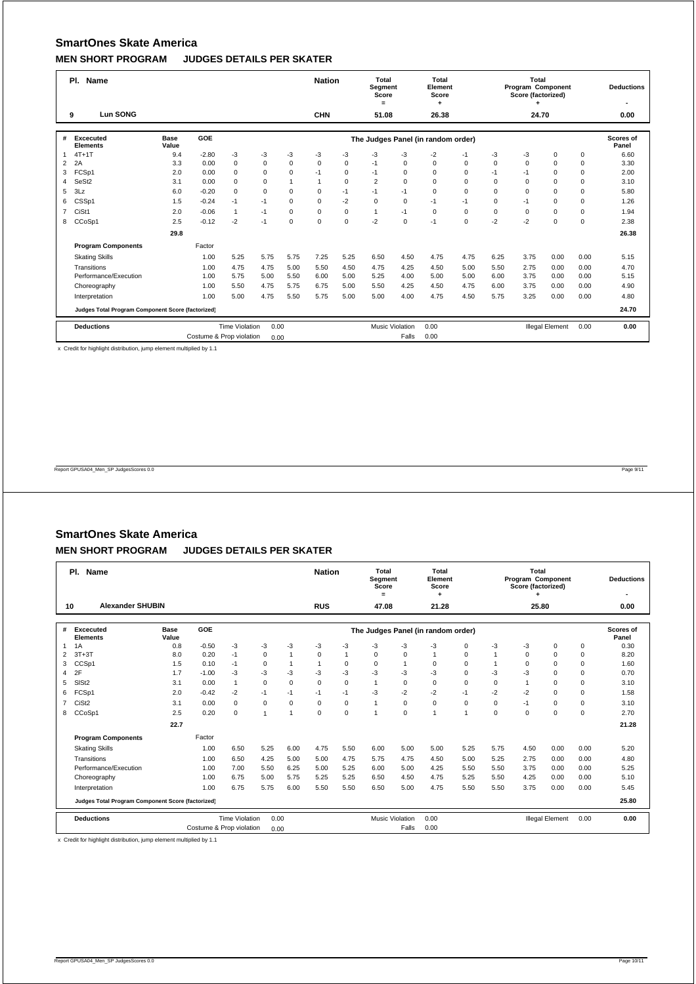|                | PI.<br>Name                                       |                      | <b>Nation</b>            |                       | Total<br>Segment<br>Score<br>$=$ |                | Total<br>Element<br>Score<br>٠ |             |                | Total<br>Program Component<br>Score (factorized) |                                    |             | <b>Deductions</b> |             |                        |      |                    |
|----------------|---------------------------------------------------|----------------------|--------------------------|-----------------------|----------------------------------|----------------|--------------------------------|-------------|----------------|--------------------------------------------------|------------------------------------|-------------|-------------------|-------------|------------------------|------|--------------------|
|                | Lun SONG<br>9                                     |                      |                          |                       |                                  |                | <b>CHN</b>                     |             | 51.08          |                                                  | 26.38                              |             |                   | 24.70       |                        |      | 0.00               |
| #              | <b>Excecuted</b><br><b>Elements</b>               | <b>Base</b><br>Value | <b>GOE</b>               |                       |                                  |                |                                |             |                |                                                  | The Judges Panel (in random order) |             |                   |             |                        |      | Scores of<br>Panel |
| $\mathbf{1}$   | $4T+1T$                                           | 9.4                  | $-2.80$                  | $-3$                  | $-3$                             | $-3$           | $-3$                           | -3          | $-3$           | -3                                               | $-2$                               | $-1$        | -3                | $-3$        | $\Omega$               | 0    | 6.60               |
| $\overline{2}$ | 2A                                                | 3.3                  | 0.00                     | $\mathbf 0$           | $\mathbf 0$                      | $\Omega$       | $\mathbf 0$                    | $\mathbf 0$ | $-1$           | $\Omega$                                         | $\mathbf 0$                        | 0           | $\Omega$          | $\Omega$    | $\Omega$               | 0    | 3.30               |
| 3              | FCSp1                                             | 2.0                  | 0.00                     | $\mathbf 0$           | $\mathbf 0$                      | $\Omega$       | $-1$                           | $\mathbf 0$ | $-1$           | $\Omega$                                         | $\Omega$                           | $\Omega$    | $-1$              | $-1$        | $\Omega$               | 0    | 2.00               |
| $\overline{4}$ | SeSt <sub>2</sub>                                 | 3.1                  | 0.00                     | $\Omega$              | $\Omega$                         | $\overline{1}$ | $\overline{1}$                 | $\Omega$    | $\overline{2}$ | $\Omega$                                         | $\Omega$                           | $\Omega$    | $\Omega$          | $\Omega$    | $\Omega$               | 0    | 3.10               |
| 5              | 3Lz                                               | 6.0                  | $-0.20$                  | $\mathbf 0$           | $\mathbf 0$                      | $\Omega$       | $\mathbf 0$                    | $-1$        | $-1$           | $-1$                                             | $\Omega$                           | $\Omega$    | $\Omega$          | $\Omega$    | $\Omega$               | 0    | 5.80               |
| 6              | CSSp1                                             | 1.5                  | $-0.24$                  | $-1$                  | $-1$                             | $\Omega$       | $\mathbf 0$                    | $-2$        | 0              | $\mathbf 0$                                      | $-1$                               | $-1$        | $\Omega$          | $-1$        | $\Omega$               | 0    | 1.26               |
| $\overline{7}$ | CiSt1                                             | 2.0                  | $-0.06$                  | $\overline{1}$        | $-1$                             | $\Omega$       | $\Omega$                       | $\mathbf 0$ | $\mathbf{1}$   | $-1$                                             | $\mathbf 0$                        | $\mathbf 0$ | $\mathbf 0$       | $\mathbf 0$ | $\Omega$               | 0    | 1.94               |
| 8              | CCoSp1                                            | 2.5                  | $-0.12$                  | $-2$                  | $-1$                             | $\Omega$       | $\mathbf 0$                    | $\mathbf 0$ | $-2$           | $\mathbf 0$                                      | $-1$                               | $\mathbf 0$ | $-2$              | $-2$        | $\Omega$               | 0    | 2.38               |
|                |                                                   | 29.8                 |                          |                       |                                  |                |                                |             |                |                                                  |                                    |             |                   |             |                        |      | 26.38              |
|                | <b>Program Components</b>                         |                      | Factor                   |                       |                                  |                |                                |             |                |                                                  |                                    |             |                   |             |                        |      |                    |
|                | <b>Skating Skills</b>                             |                      | 1.00                     | 5.25                  | 5.75                             | 5.75           | 7.25                           | 5.25        | 6.50           | 4.50                                             | 4.75                               | 4.75        | 6.25              | 3.75        | 0.00                   | 0.00 | 5.15               |
|                | Transitions                                       |                      | 1.00                     | 4.75                  | 4.75                             | 5.00           | 5.50                           | 4.50        | 4.75           | 4.25                                             | 4.50                               | 5.00        | 5.50              | 2.75        | 0.00                   | 0.00 | 4.70               |
|                | Performance/Execution                             |                      | 1.00                     | 5.75                  | 5.00                             | 5.50           | 6.00                           | 5.00        | 5.25           | 4.00                                             | 5.00                               | 5.00        | 6.00              | 3.75        | 0.00                   | 0.00 | 5.15               |
|                | Choreography                                      |                      | 1.00                     | 5.50                  | 4.75                             | 5.75           | 6.75                           | 5.00        | 5.50           | 4.25                                             | 4.50                               | 4.75        | 6.00              | 3.75        | 0.00                   | 0.00 | 4.90               |
|                | Interpretation                                    |                      | 1.00                     | 5.00                  | 4.75                             | 5.50           | 5.75                           | 5.00        | 5.00           | 4.00                                             | 4.75                               | 4.50        | 5.75              | 3.25        | 0.00                   | 0.00 | 4.80               |
|                | Judges Total Program Component Score (factorized) |                      |                          |                       |                                  |                |                                |             |                |                                                  |                                    |             |                   |             |                        |      | 24.70              |
|                | <b>Deductions</b>                                 |                      |                          | <b>Time Violation</b> | 0.00                             |                |                                |             |                | <b>Music Violation</b>                           | 0.00                               |             |                   |             | <b>Illegal Element</b> | 0.00 | 0.00               |
|                |                                                   |                      | Costume & Prop violation |                       | 0.00                             |                |                                |             |                | Falls                                            | 0.00                               |             |                   |             |                        |      |                    |

x Credit for highlight distribution, jump element multiplied by 1.1

Report GPUSA04\_Men\_SP JudgesScores 0.0 Page 9/11

### **SmartOnes Skate America**

#### **MEN SHORT PROGRAM JUDGES DETAILS PER SKATER**

|                | PI.<br><b>Name</b>                                |                      |                          |                       |                |                | <b>Nation</b> |                | <b>Total</b><br>Segment<br>Score<br>$\equiv$ |                        | Total<br>Element<br>Score          |                |              | Total<br>Program Component<br>Score (factorized) |                        |             | <b>Deductions</b>  |
|----------------|---------------------------------------------------|----------------------|--------------------------|-----------------------|----------------|----------------|---------------|----------------|----------------------------------------------|------------------------|------------------------------------|----------------|--------------|--------------------------------------------------|------------------------|-------------|--------------------|
|                | <b>Alexander SHUBIN</b><br>10                     |                      |                          |                       |                |                | <b>RUS</b>    |                | 47.08                                        |                        | 21.28                              |                |              | 25.80                                            |                        |             | 0.00               |
| #              | Excecuted<br><b>Elements</b>                      | <b>Base</b><br>Value | GOE                      |                       |                |                |               |                |                                              |                        | The Judges Panel (in random order) |                |              |                                                  |                        |             | Scores of<br>Panel |
| $\mathbf{1}$   | 1A                                                | 0.8                  | $-0.50$                  | $-3$                  | $-3$           | -3             | $-3$          | -3             | -3                                           | $-3$                   | $-3$                               | $\mathbf 0$    | -3           | -3                                               | $\mathbf 0$            | 0           | 0.30               |
| 2              | $3T+3T$                                           | 8.0                  | 0.20                     | $-1$                  | $\Omega$       | $\overline{1}$ | $\Omega$      | $\overline{1}$ | $\Omega$                                     | $\Omega$               | $\mathbf{1}$                       | $\Omega$       | $\mathbf{1}$ | $\Omega$                                         | $\Omega$               | $\mathbf 0$ | 8.20               |
| 3              | CCSp1                                             | 1.5                  | 0.10                     | $-1$                  | $\mathbf 0$    | $\overline{1}$ | $\mathbf{1}$  | $\mathbf 0$    | $\mathbf 0$                                  |                        | $\Omega$                           | $\Omega$       |              | $\Omega$                                         | $\Omega$               | $\mathbf 0$ | 1.60               |
| 4              | 2F                                                | 1.7                  | $-1.00$                  | $-3$                  | -3             | $-3$           | $-3$          | $-3$           | $-3$                                         | $-3$                   | $-3$                               | $\Omega$       | $-3$         | -3                                               | $\Omega$               | $\mathbf 0$ | 0.70               |
| 5              | SIS <sub>t2</sub>                                 | 3.1                  | 0.00                     | $\mathbf{1}$          | $\mathbf 0$    | $\Omega$       | 0             | $\mathbf 0$    | $\mathbf{1}$                                 | $\mathbf 0$            | $\mathbf 0$                        | $\Omega$       | $\mathbf 0$  | $\overline{1}$                                   | $\mathbf 0$            | $\mathbf 0$ | 3.10               |
| 6              | FCSp1                                             | 2.0                  | $-0.42$                  | $-2$                  | $-1$           | $-1$           | $-1$          | $-1$           | $-3$                                         | $-2$                   | $-2$                               | $-1$           | $-2$         | $-2$                                             | $\Omega$               | $\mathbf 0$ | 1.58               |
| $\overline{7}$ | CiSt <sub>2</sub>                                 | 3.1                  | 0.00                     | $\Omega$              | $\mathbf 0$    | $\Omega$       | $\Omega$      | $\mathbf 0$    | $\mathbf{1}$                                 | $\Omega$               | $\Omega$                           | $\Omega$       | $\Omega$     | $-1$                                             | $\Omega$               | $\mathbf 0$ | 3.10               |
| 8              | CCoSp1                                            | 2.5                  | 0.20                     | $\mathbf 0$           | $\overline{1}$ | 1              | $\mathbf 0$   | 0              | $\overline{1}$                               | $\Omega$               | 1                                  | $\overline{1}$ | $\Omega$     | $\mathbf 0$                                      | $\mathbf 0$            | $\mathbf 0$ | 2.70               |
|                |                                                   | 22.7                 |                          |                       |                |                |               |                |                                              |                        |                                    |                |              |                                                  |                        |             | 21.28              |
|                | <b>Program Components</b>                         |                      | Factor                   |                       |                |                |               |                |                                              |                        |                                    |                |              |                                                  |                        |             |                    |
|                | <b>Skating Skills</b>                             |                      | 1.00                     | 6.50                  | 5.25           | 6.00           | 4.75          | 5.50           | 6.00                                         | 5.00                   | 5.00                               | 5.25           | 5.75         | 4.50                                             | 0.00                   | 0.00        | 5.20               |
|                | Transitions                                       |                      | 1.00                     | 6.50                  | 4.25           | 5.00           | 5.00          | 4.75           | 5.75                                         | 4.75                   | 4.50                               | 5.00           | 5.25         | 2.75                                             | 0.00                   | 0.00        | 4.80               |
|                | Performance/Execution                             |                      | 1.00                     | 7.00                  | 5.50           | 6.25           | 5.00          | 5.25           | 6.00                                         | 5.00                   | 4.25                               | 5.50           | 5.50         | 3.75                                             | 0.00                   | 0.00        | 5.25               |
|                | Choreography                                      |                      | 1.00                     | 6.75                  | 5.00           | 5.75           | 5.25          | 5.25           | 6.50                                         | 4.50                   | 4.75                               | 5.25           | 5.50         | 4.25                                             | 0.00                   | 0.00        | 5.10               |
|                | Interpretation                                    |                      | 1.00                     | 6.75                  | 5.75           | 6.00           | 5.50          | 5.50           | 6.50                                         | 5.00                   | 4.75                               | 5.50           | 5.50         | 3.75                                             | 0.00                   | 0.00        | 5.45               |
|                | Judges Total Program Component Score (factorized) |                      |                          |                       |                |                |               |                |                                              |                        |                                    |                |              |                                                  |                        |             | 25.80              |
|                | <b>Deductions</b>                                 |                      |                          | <b>Time Violation</b> | 0.00           |                |               |                |                                              | <b>Music Violation</b> | 0.00                               |                |              |                                                  | <b>Illegal Element</b> | 0.00        | 0.00               |
|                |                                                   |                      | Costume & Prop violation |                       | 0.00           |                |               |                |                                              | Falls                  | 0.00                               |                |              |                                                  |                        |             |                    |